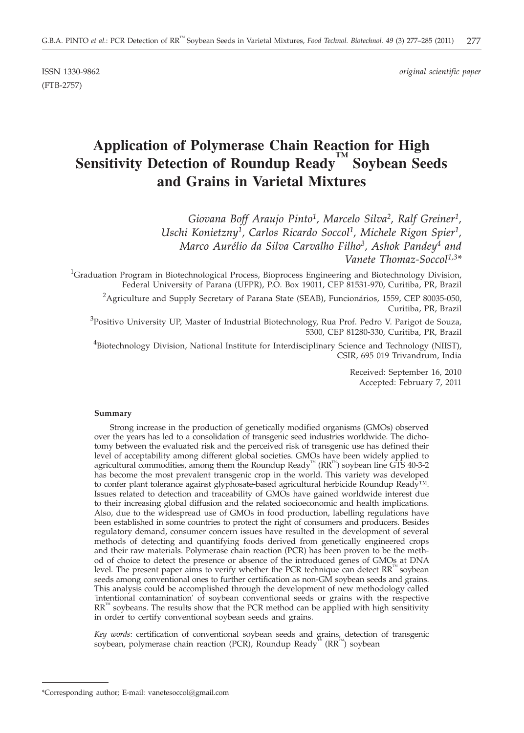(FTB-2757)

ISSN 1330-9862 *original scientific paper*

# **Application of Polymerase Chain Reaction for High Sensitivity Detection of Roundup Ready ™ Soybean Seeds and Grains in Varietal Mixtures**

*Giovana Boff Araujo Pinto1, Marcelo Silva2, Ralf Greiner1, Uschi Konietzny1, Carlos Ricardo Soccol1, Michele Rigon Spier1, Marco Aurélio da Silva Carvalho Filho3, Ashok Pandey4 and Vanete Thomaz-Soccol1,3\**

<sup>1</sup>Graduation Program in Biotechnological Process, Bioprocess Engineering and Biotechnology Division, Federal University of Parana (UFPR), P.O. Box 19011, CEP 81531-970, Curitiba, PR, Brazil <sup>2</sup> Agriculture and Supply Secretary of Parana State (SEAB), Funcionários, 1559, CEP 80035-050,

Curitiba, PR, Brazil

 $^3$ Positivo University UP, Master of Industrial Biotechnology, Rua Prof. Pedro V. Parigot de Souza, 5300, CEP 81280-330, Curitiba, PR, Brazil

<sup>4</sup>Biotechnology Division, National Institute for Interdisciplinary Science and Technology (NIIST), CSIR, 695 019 Trivandrum, India

> Received: September 16, 2010 Accepted: February 7, 2011

#### **Summary**

Strong increase in the production of genetically modified organisms (GMOs) observed over the years has led to a consolidation of transgenic seed industries worldwide. The dichotomy between the evaluated risk and the perceived risk of transgenic use has defined their level of acceptability among different global societies. GMOs have been widely applied to agricultural commodities, among them the Roundup Ready<sup>™</sup> ( $\text{RR}^m$ ) soybean line GTS 40-3-2 has become the most prevalent transgenic crop in the world. This variety was developed to confer plant tolerance against glyphosate-based agricultural herbicide Roundup Ready™. Issues related to detection and traceability of GMOs have gained worldwide interest due to their increasing global diffusion and the related socioeconomic and health implications. Also, due to the widespread use of GMOs in food production, labelling regulations have been established in some countries to protect the right of consumers and producers. Besides regulatory demand, consumer concern issues have resulted in the development of several methods of detecting and quantifying foods derived from genetically engineered crops and their raw materials. Polymerase chain reaction (PCR) has been proven to be the method of choice to detect the presence or absence of the introduced genes of GMOs at DNA level. The present paper aims to verify whether the PCR technique can detect  $RR^{\mathbb{N}}$  soybean seeds among conventional ones to further certification as non-GM soybean seeds and grains. This analysis could be accomplished through the development of new methodology called 'intentional contamination' of soybean conventional seeds or grains with the respective  $RR^{\omega}$  soybeans. The results show that the PCR method can be applied with high sensitivity in order to certify conventional soybean seeds and grains.

*Key words*: certification of conventional soybean seeds and grains, detection of transgenic soybean, polymerase chain reaction (PCR), Roundup Ready<sup>™</sup> (RR™) soybean

<sup>\*</sup>Corresponding author; E-mail: vanetesoccol@gmail.com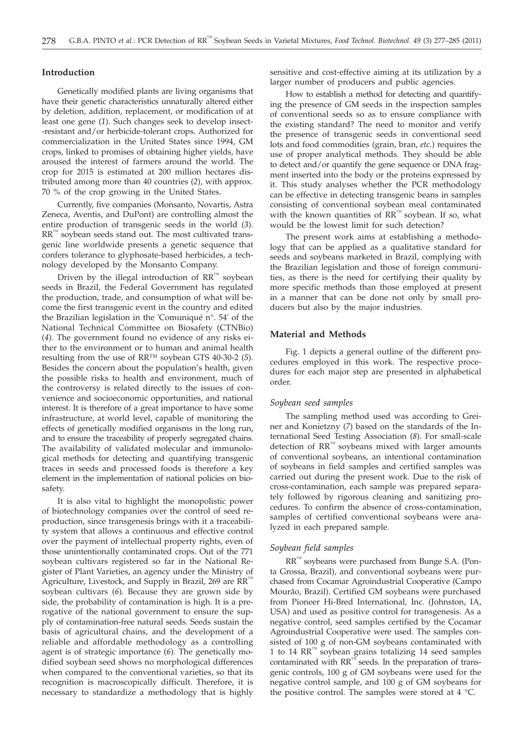#### **Introduction**

Genetically modified plants are living organisms that have their genetic characteristics unnaturally altered either by deletion, addition, replacement, or modification of at least one gene (*1*). Such changes seek to develop insect- -resistant and/or herbicide-tolerant crops. Authorized for commercialization in the United States since 1994, GM crops, linked to promises of obtaining higher yields, have aroused the interest of farmers around the world. The crop for 2015 is estimated at 200 million hectares distributed among more than 40 countries (*2*), with approx. 70 % of the crop growing in the United States.

Currently, five companies (Monsanto, Novartis, Astra Zeneca, Aventis, and DuPont) are controlling almost the entire production of transgenic seeds in the world (*3*).  $RR^{\mu\nu}$  soybean seeds stand out. The most cultivated transgenic line worldwide presents a genetic sequence that confers tolerance to glyphosate-based herbicides, a technology developed by the Monsanto Company.

Driven by the illegal introduction of  $RR^m$  soybean seeds in Brazil, the Federal Government has regulated the production, trade, and consumption of what will become the first transgenic event in the country and edited the Brazilian legislation in the 'Comuniqué n°. 54' of the National Technical Committee on Biosafety (CTNBio) (*4*). The government found no evidence of any risks either to the environment or to human and animal health resulting from the use of RR™ soybean GTS 40-30-2 (*5*). Besides the concern about the population's health, given the possible risks to health and environment, much of the controversy is related directly to the issues of convenience and socioeconomic opportunities, and national interest. It is therefore of a great importance to have some infrastructure, at world level, capable of monitoring the effects of genetically modified organisms in the long run, and to ensure the traceability of properly segregated chains. The availability of validated molecular and immunological methods for detecting and quantifying transgenic traces in seeds and processed foods is therefore a key element in the implementation of national policies on biosafety.

It is also vital to highlight the monopolistic power of biotechnology companies over the control of seed reproduction, since transgenesis brings with it a traceability system that allows a continuous and effective control over the payment of intellectual property rights, even of those unintentionally contaminated crops. Out of the 771 soybean cultivars registered so far in the National Register of Plant Varieties, an agency under the Ministry of Agriculture, Livestock, and Supply in Brazil, 269 are RR™ soybean cultivars (*6*). Because they are grown side by side, the probability of contamination is high. It is a prerogative of the national government to ensure the supply of contamination-free natural seeds. Seeds sustain the basis of agricultural chains, and the development of a reliable and affordable methodology as a controlling agent is of strategic importance (*6*). The genetically modified soybean seed shows no morphological differences when compared to the conventional varieties, so that its recognition is macroscopically difficult. Therefore, it is necessary to standardize a methodology that is highly sensitive and cost-effective aiming at its utilization by a larger number of producers and public agencies.

How to establish a method for detecting and quantifying the presence of GM seeds in the inspection samples of conventional seeds so as to ensure compliance with the existing standard? The need to monitor and verify the presence of transgenic seeds in conventional seed lots and food commodities (grain, bran, *etc.*) requires the use of proper analytical methods. They should be able to detect and/or quantify the gene sequence or DNA fragment inserted into the body or the proteins expressed by it. This study analyses whether the PCR methodology can be effective in detecting transgenic beans in samples consisting of conventional soybean meal contaminated with the known quantities of  $\overline{RR}^{m}$  soybean. If so, what would be the lowest limit for such detection?

The present work aims at establishing a methodology that can be applied as a qualitative standard for seeds and soybeans marketed in Brazil, complying with the Brazilian legislation and those of foreign communities, as there is the need for certifying their quality by more specific methods than those employed at present in a manner that can be done not only by small producers but also by the major industries.

#### **Material and Methods**

Fig. 1 depicts a general outline of the different procedures employed in this work. The respective procedures for each major step are presented in alphabetical order.

#### *Soybean seed samples*

The sampling method used was according to Greiner and Konietzny (*7*) based on the standards of the International Seed Testing Association (*8*). For small-scale detection of  $RR^{\mu}$  soybeans mixed with larger amounts of conventional soybeans, an intentional contamination of soybeans in field samples and certified samples was carried out during the present work. Due to the risk of cross-contamination, each sample was prepared separately followed by rigorous cleaning and sanitizing procedures. To confirm the absence of cross-contamination, samples of certified conventional soybeans were analyzed in each prepared sample.

#### *Soybean field samples*

RR™ soybeans were purchased from Bunge S.A. (Ponta Grossa, Brazil), and conventional soybeans were purchased from Cocamar Agroindustrial Cooperative (Campo Mourão, Brazil). Certified GM soybeans were purchased from Pioneer Hi-Bred International, Inc. (Johnston, IA, USA) and used as positive control for transgenesis. As a negative control, seed samples certified by the Cocamar Agroindustrial Cooperative were used. The samples consisted of 100 g of non-GM soybeans contaminated with 1 to 14  $\mathbb{R}^{\mathbb{N}}$  soybean grains totalizing 14 seed samples contaminated with  $RR^{\pi}$  seeds. In the preparation of transgenic controls, 100 g of GM soybeans were used for the negative control sample, and 100 g of GM soybeans for the positive control. The samples were stored at 4 °C.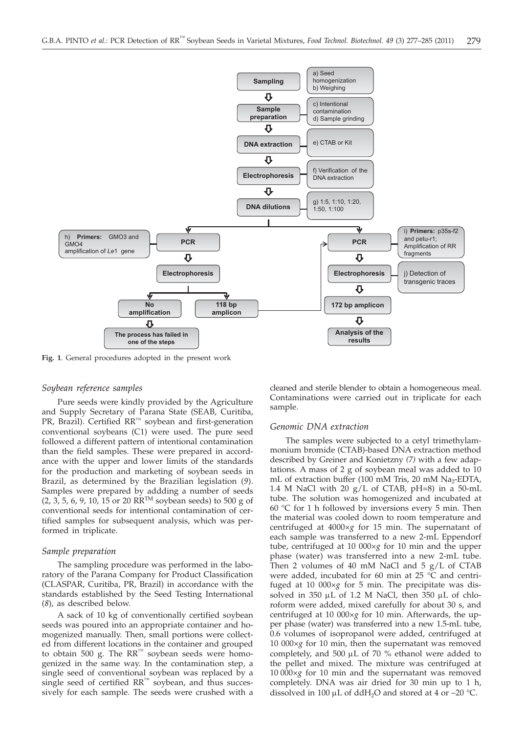

**Fig. 1**. General procedures adopted in the present work

#### *Soybean reference samples*

Pure seeds were kindly provided by the Agriculture and Supply Secretary of Parana State (SEAB, Curitiba, PR, Brazil). Certified RR™ soybean and first-generation conventional soybeans (C1) were used. The pure seed followed a different pattern of intentional contamination than the field samples. These were prepared in accordance with the upper and lower limits of the standards for the production and marketing of soybean seeds in Brazil, as determined by the Brazilian legislation (*9*). Samples were prepared by addding a number of seeds  $(2, 3, 5, 6, 9, 10, 15 \text{ or } 20 \text{ RR}^{\text{TM}}$  soybean seeds) to 500 g of conventional seeds for intentional contamination of certified samples for subsequent analysis, which was performed in triplicate.

#### *Sample preparation*

The sampling procedure was performed in the laboratory of the Parana Company for Product Classification (CLASPAR, Curitiba, PR, Brazil) in accordance with the standards established by the Seed Testing International (*8*), as described below.

A sack of 10 kg of conventionally certified soybean seeds was poured into an appropriate container and homogenized manually. Then, small portions were collected from different locations in the container and grouped to obtain 500 g. The  $RR^{\pi}$  soybean seeds were homogenized in the same way. In the contamination step, a single seed of conventional soybean was replaced by a single seed of certified  $RR^{\pi}$  soybean, and thus successively for each sample. The seeds were crushed with a

cleaned and sterile blender to obtain a homogeneous meal. Contaminations were carried out in triplicate for each sample.

#### *Genomic DNA extraction*

The samples were subjected to a cetyl trimethylammonium bromide (CTAB)-based DNA extraction method described by Greiner and Konietzny *(7)* with a few adaptations. A mass of 2 g of soybean meal was added to  $10$ mL of extraction buffer (100 mM Tris, 20 mM  $Na<sub>2</sub>$ -EDTA, 1.4 M NaCl with 20  $g/L$  of CTAB, pH=8) in a 50-mL tube. The solution was homogenized and incubated at 60 °C for 1 h followed by inversions every 5 min. Then the material was cooled down to room temperature and centrifuged at 4000×*g* for 15 min. The supernatant of each sample was transferred to a new 2-mL Eppendorf tube, centrifuged at 10 000×*g* for 10 min and the upper phase (water) was transferred into a new 2-mL tube. Then 2 volumes of 40 mM NaCl and 5 g/L of CTAB were added, incubated for 60 min at 25  $\degree$ C and centrifuged at 10 000×*g* for 5 min. The precipitate was dissolved in 350  $\mu$ L of 1.2 M NaCl, then 350  $\mu$ L of chloroform were added, mixed carefully for about 30 s, and centrifuged at 10 000×*g* for 10 min. Afterwards, the upper phase (water) was transferred into a new 1.5-mL tube, 0.6 volumes of isopropanol were added, centrifuged at 10 000×*g* for 10 min, then the supernatant was removed completely, and 500  $\mu$ L of 70 % ethanol were added to the pellet and mixed. The mixture was centrifuged at 10 000×*g* for 10 min and the supernatant was removed completely. DNA was air dried for 30 min up to 1 h, dissolved in 100  $\mu$ L of ddH<sub>2</sub>O and stored at 4 or –20 °C.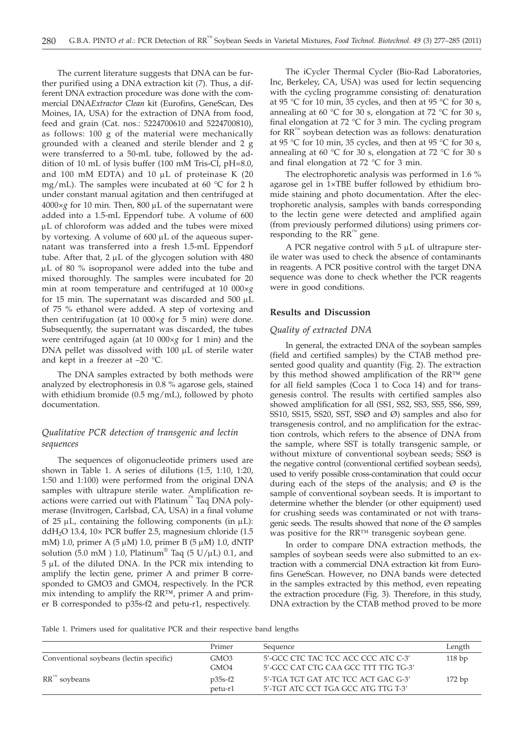The current literature suggests that DNA can be further purified using a DNA extraction kit (*7*). Thus, a different DNA extraction procedure was done with the commercial DNA*Extractor Clean* kit (Eurofins, GeneScan, Des Moines, IA, USA) for the extraction of DNA from food, feed and grain (Cat. nos.: 5224700610 and 5224700810), as follows: 100 g of the material were mechanically grounded with a cleaned and sterile blender and 2 g were transferred to a 50-mL tube, followed by the addition of 10 mL of lysis buffer (100 mM Tris-Cl, pH=8.0, and  $100$  mM EDTA) and  $10 \mu$ L of proteinase K (20 mg/mL). The samples were incubated at 60  $^{\circ}$ C for 2 h under constant manual agitation and then centrifuged at  $4000 \times g$  for 10 min. Then,  $800 \mu L$  of the supernatant were added into a 1.5-mL Eppendorf tube. A volume of 600 µL of chloroform was added and the tubes were mixed by vortexing. A volume of  $600 \mu L$  of the aqueous supernatant was transferred into a fresh 1.5-mL Eppendorf tube. After that,  $2 \mu L$  of the glycogen solution with 480 µL of 80 % isopropanol were added into the tube and mixed thoroughly. The samples were incubated for 20 min at room temperature and centrifuged at 10 000×*g* for 15 min. The supernatant was discarded and  $500 \mu L$ of 75 % ethanol were added. A step of vortexing and then centrifugation (at 10 000×*g* for 5 min) were done. Subsequently, the supernatant was discarded, the tubes were centrifuged again (at 10 000×*g* for 1 min) and the DNA pellet was dissolved with  $100 \mu L$  of sterile water and kept in a freezer at –20 °C.

The DNA samples extracted by both methods were analyzed by electrophoresis in 0.8 % agarose gels, stained with ethidium bromide (0.5 mg/mL), followed by photo documentation.

# *Qualitative PCR detection of transgenic and lectin sequences*

The sequences of oligonucleotide primers used are shown in Table 1. A series of dilutions (1:5, 1:10, 1:20, 1:50 and 1:100) were performed from the original DNA samples with ultrapure sterile water. Amplification reactions were carried out with Platinum<sup>™</sup> Taq DNA polymerase (Invitrogen, Carlsbad, CA, USA) in a final volume of 25  $\mu$ L, containing the following components (in  $\mu$ L): ddH<sub>2</sub>O 13.4, 10 $\times$  PCR buffer 2.5, magnesium chloride (1.5) mM) 1.0, primer A  $(5 \mu M)$  1.0, primer B  $(5 \mu M)$  1.0, dNTP solution (5.0 mM) 1.0, Platinum<sup>®</sup> Taq (5 U/ $\mu$ L) 0.1, and  $5 \mu L$  of the diluted DNA. In the PCR mix intending to amplify the lectin gene, primer A and primer B corresponded to GMO3 and GMO4, respectively. In the PCR mix intending to amplify the RR*™*, primer A and primer B corresponded to p35s-f2 and petu-r1, respectively.

The iCycler Thermal Cycler (Bio-Rad Laboratories, Inc, Berkeley, CA, USA) was used for lectin sequencing with the cycling programme consisting of: denaturation at 95 °C for 10 min, 35 cycles, and then at 95 °C for 30 s, annealing at 60 °C for 30 s, elongation at 72 °C for 30 s, final elongation at  $72 \text{ °C}$  for 3 min. The cycling program for RR™ soybean detection was as follows: denaturation at 95 °C for 10 min, 35 cycles, and then at 95 °C for 30 s, annealing at 60 °C for 30 s, elongation at 72 °C for 30 s and final elongation at 72 °C for 3 min.

The electrophoretic analysis was performed in 1.6 % agarose gel in 1×TBE buffer followed by ethidium bromide staining and photo documentation. After the electrophoretic analysis, samples with bands corresponding to the lectin gene were detected and amplified again (from previously performed dilutions) using primers corresponding to the  $RR^{\mu}$  gene.

A PCR negative control with  $5 \mu L$  of ultrapure sterile water was used to check the absence of contaminants in reagents. A PCR positive control with the target DNA sequence was done to check whether the PCR reagents were in good conditions.

### **Results and Discussion**

#### *Quality of extracted DNA*

In general, the extracted DNA of the soybean samples (field and certified samples) by the CTAB method presented good quality and quantity (Fig. 2). The extraction by this method showed amplification of the RR*™* gene for all field samples (Coca 1 to Coca 14) and for transgenesis control. The results with certified samples also showed amplification for all (SS1, SS2, SS3, SS5, SS6, SS9, SS10, SS15, SS20, SST, SSØ and Ø) samples and also for transgenesis control, and no amplification for the extraction controls, which refers to the absence of DNA from the sample, where SST is totally transgenic sample, or without mixture of conventional soybean seeds; SSØ is the negative control (conventional certified soybean seeds), used to verify possible cross-contamination that could occur during each of the steps of the analysis; and  $\varnothing$  is the sample of conventional soybean seeds. It is important to determine whether the blender (or other equipment) used for crushing seeds was contaminated or not with transgenic seeds. The results showed that none of the  $\varnothing$  samples was positive for the RR™ transgenic soybean gene.

In order to compare DNA extraction methods, the samples of soybean seeds were also submitted to an extraction with a commercial DNA extraction kit from Eurofins GeneScan. However, no DNA bands were detected in the samples extracted by this method, even repeating the extraction procedure (Fig. 3). Therefore, in this study, DNA extraction by the CTAB method proved to be more

Table 1. Primers used for qualitative PCR and their respective band lengths

|                                         | Primer               | Sequence                                                                   | Length |
|-----------------------------------------|----------------------|----------------------------------------------------------------------------|--------|
| Conventional soybeans (lectin specific) | GMO3                 | 5'-GCC CTC TAC TCC ACC CCC ATC C-3'                                        | 118bp  |
|                                         | GMO4                 | 5'-GCC CAT CTG CAA GCC TTT TTG TG-3'                                       |        |
| $RR^{\mathrm{m}}$ soybeans              | $p35s-f2$<br>petu-r1 | 5'-TGA TGT GAT ATC TCC ACT GAC G-3'<br>5'-TGT ATC CCT TGA GCC ATG TTG T-3' | 172bp  |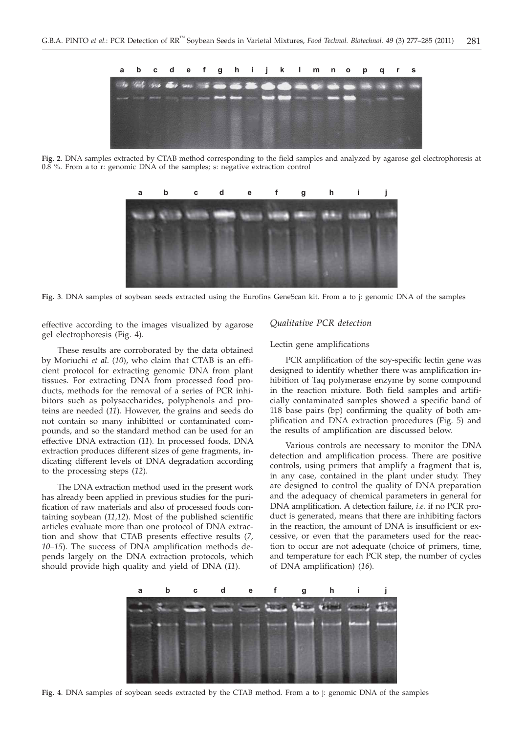

**Fig. 2**. DNA samples extracted by CTAB method corresponding to the field samples and analyzed by agarose gel electrophoresis at 0.8 %. From a to r: genomic DNA of the samples; s: negative extraction control



**Fig. 3**. DNA samples of soybean seeds extracted using the Eurofins GeneScan kit. From a to j: genomic DNA of the samples

effective according to the images visualized by agarose gel electrophoresis (Fig. 4).

These results are corroborated by the data obtained by Moriuchi *et al*. (*10*), who claim that CTAB is an efficient protocol for extracting genomic DNA from plant tissues. For extracting DNA from processed food products, methods for the removal of a series of PCR inhibitors such as polysaccharides, polyphenols and proteins are needed (*11*). However, the grains and seeds do not contain so many inhibitted or contaminated compounds, and so the standard method can be used for an effective DNA extraction (*11*). In processed foods, DNA extraction produces different sizes of gene fragments, indicating different levels of DNA degradation according to the processing steps (*12*).

The DNA extraction method used in the present work has already been applied in previous studies for the purification of raw materials and also of processed foods containing soybean (*11,12*). Most of the published scientific articles evaluate more than one protocol of DNA extraction and show that CTAB presents effective results (*7, 10–15*). The success of DNA amplification methods depends largely on the DNA extraction protocols, which should provide high quality and yield of DNA (*11*).

## *Qualitative PCR detection*

#### Lectin gene amplifications

PCR amplification of the soy-specific lectin gene was designed to identify whether there was amplification inhibition of Taq polymerase enzyme by some compound in the reaction mixture. Both field samples and artificially contaminated samples showed a specific band of 118 base pairs (bp) confirming the quality of both amplification and DNA extraction procedures (Fig. 5) and the results of amplification are discussed below.

Various controls are necessary to monitor the DNA detection and amplification process. There are positive controls, using primers that amplify a fragment that is, in any case, contained in the plant under study. They are designed to control the quality of DNA preparation and the adequacy of chemical parameters in general for DNA amplification. A detection failure, *i.e.* if no PCR product is generated, means that there are inhibiting factors in the reaction, the amount of DNA is insufficient or excessive, or even that the parameters used for the reaction to occur are not adequate (choice of primers, time, and temperature for each PCR step, the number of cycles of DNA amplification) (*16*).



**Fig. 4**. DNA samples of soybean seeds extracted by the CTAB method. From a to j: genomic DNA of the samples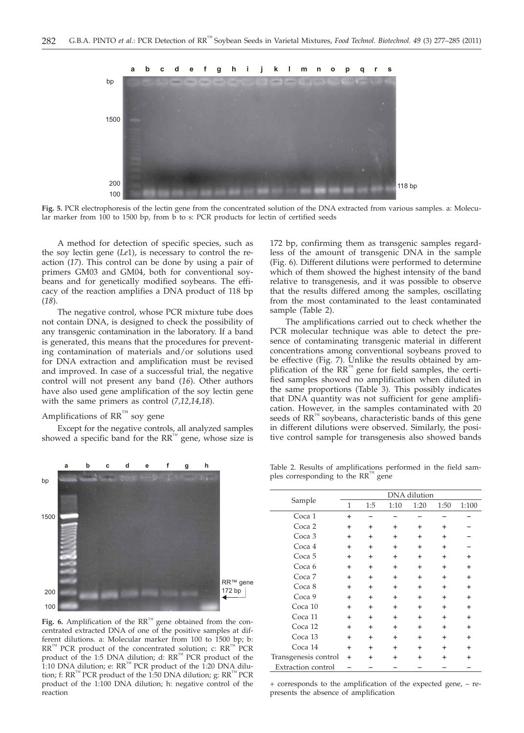

**Fig. 5.** PCR electrophoresis of the lectin gene from the concentrated solution of the DNA extracted from various samples. a: Molecular marker from 100 to 1500 bp, from b to s: PCR products for lectin of certified seeds

A method for detection of specific species, such as the soy lectin gene (*Le*1), is necessary to control the reaction (*17*). This control can be done by using a pair of primers GM03 and GM04, both for conventional soybeans and for genetically modified soybeans. The efficacy of the reaction amplifies a DNA product of 118 bp (*18*).

The negative control, whose PCR mixture tube does not contain DNA, is designed to check the possibility of any transgenic contamination in the laboratory. If a band is generated, this means that the procedures for preventing contamination of materials and/or solutions used for DNA extraction and amplification must be revised and improved. In case of a successful trial, the negative control will not present any band (*16*). Other authors have also used gene amplification of the soy lectin gene with the same primers as control (*7,12,14,18*).

# Amplifications of  $RR^{\pi M}$  soy gene

Except for the negative controls, all analyzed samples showed a specific band for the  $RR^{\pi}$  gene, whose size is



**Fig. 6.** Amplification of the RR™ gene obtained from the concentrated extracted DNA of one of the positive samples at different dilutions. a: Molecular marker from 100 to 1500 bp; b: RR™ PCR product of the concentrated solution; c: RR™ PCR product of the 1:5 DNA dilution; d: RR™ PCR product of the 1:10 DNA dilution; e:  $RR^{m}$  PCR product of the 1:20 DNA dilution; f: RR™ PCR product of the 1:50 DNA dilution; g: RR™ PCR product of the 1:100 DNA dilution; h: negative control of the reaction

172 bp, confirming them as transgenic samples regardless of the amount of transgenic DNA in the sample (Fig. 6). Different dilutions were performed to determine which of them showed the highest intensity of the band relative to transgenesis, and it was possible to observe that the results differed among the samples, oscillating from the most contaminated to the least contaminated sample (Table 2).

The amplifications carried out to check whether the PCR molecular technique was able to detect the presence of contaminating transgenic material in different concentrations among conventional soybeans proved to be effective (Fig. 7). Unlike the results obtained by amplification of the  $\overrightarrow{RR}^m$  gene for field samples, the certified samples showed no amplification when diluted in the same proportions (Table 3). This possibly indicates that DNA quantity was not sufficient for gene amplification. However, in the samples contaminated with 20 seeds of RR<sup>™</sup> soybeans, characteristic bands of this gene in different dilutions were observed. Similarly, the positive control sample for transgenesis also showed bands

Table 2. Results of amplifications performed in the field samples corresponding to the  $RR^{\mu}$  gene

| Sample                    | DNA dilution |           |           |           |           |           |
|---------------------------|--------------|-----------|-----------|-----------|-----------|-----------|
|                           | $\mathbf{1}$ | 1:5       | 1:10      | 1:20      | 1:50      | 1:100     |
| Coca 1                    | $\ddot{}$    |           |           |           |           |           |
| Coca 2                    | $\ddot{}$    | $\ddot{}$ | $\ddot{}$ | $\ddot{}$ | +         |           |
| Coca 3                    | $\ddot{}$    | $\ddot{}$ | $\ddot{}$ | $\ddot{}$ | +         |           |
| Coca 4                    | $\ddot{}$    | $\ddot{}$ | $\ddot{}$ | $\ddot{}$ | $\ddot{}$ |           |
| Coca 5                    | $\ddot{}$    | $\ddot{}$ | $\ddot{}$ | $\ddot{}$ | $\div$    | $\ddot{}$ |
| Coca 6                    | $\ddot{}$    | $\ddot{}$ | $\ddot{}$ | $\ddot{}$ | $\ddot{}$ | $\ddot{}$ |
| Coca 7                    | ÷            | $\ddot{}$ | $\ddot{}$ | $\ddot{}$ | $\ddot{}$ | $\ddot{}$ |
| Coca 8                    | $\ddot{}$    | $\ddot{}$ | $\ddot{}$ | $\ddot{}$ | $\ddot{}$ | $\ddot{}$ |
| Coca 9                    | $\ddot{}$    | $\ddot{}$ | $\ddot{}$ | $\ddot{}$ | +         | $\ddot{}$ |
| Coca 10                   | $\ddot{}$    | $\ddot{}$ | $\ddot{}$ | $\ddot{}$ | $\ddot{}$ | $\ddot{}$ |
| Coca 11                   | $\ddot{}$    | $\ddot{}$ | $\ddot{}$ | $\ddot{}$ | $\ddot{}$ | $\ddot{}$ |
| Coca 12                   | $\ddot{}$    | $\ddot{}$ | $\ddot{}$ | $\ddot{}$ | $\ddot{}$ | $\ddot{}$ |
| Coca 13                   | $\ddot{}$    | $\ddot{}$ | $\ddot{}$ | $\ddot{}$ | $\ddot{}$ | $\ddot{}$ |
| Coca 14                   | $\ddot{}$    | $\ddot{}$ | $\ddot{}$ | $\ddot{}$ | $\ddot{}$ | $\ddot{}$ |
| Transgenesis control      | $\ddot{}$    | +         | +         | $\ddot{}$ | +         |           |
| <b>Extraction</b> control |              |           |           |           |           |           |

+ corresponds to the amplification of the expected gene, – represents the absence of amplification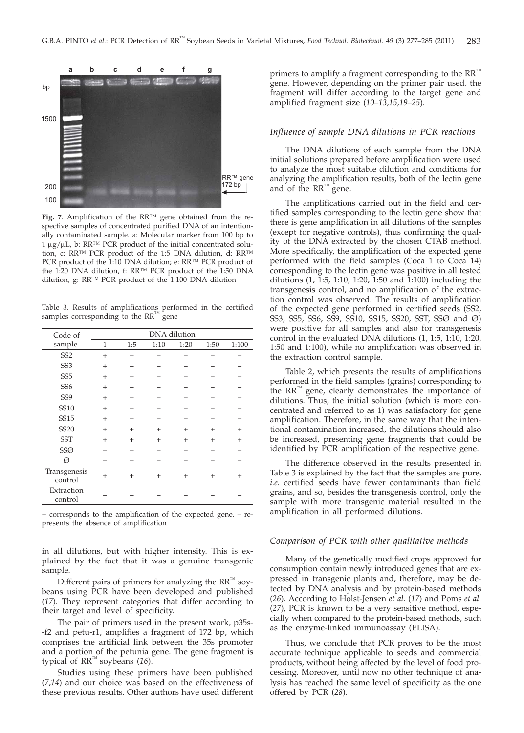

**Fig. 7**. Amplification of the RR™ gene obtained from the respective samples of concentrated purified DNA of an intentionally contaminated sample. a: Molecular marker from 100 bp to  $1 \mu$ g/ $\mu$ L, b: RR™ PCR product of the initial concentrated solution, c: RR™ PCR product of the 1:5 DNA dilution, d: RR™ PCR product of the 1:10 DNA dilution; e: RR™ PCR product of the 1:20 DNA dilution, f: RR™ PCR product of the 1:50 DNA dilution, g: RR™ PCR product of the 1:100 DNA dilution

Table 3. Results of amplifications performed in the certified samples corresponding to the  $RR^{\text{m}}$  gene

| Code of                 |           |           |           | DNA dilution |           |       |
|-------------------------|-----------|-----------|-----------|--------------|-----------|-------|
| sample                  | 1         | 1:5       | 1:10      | 1:20         | 1:50      | 1:100 |
| SS <sub>2</sub>         | $\ddot{}$ |           |           |              |           |       |
| SS <sub>3</sub>         | $\ddot{}$ |           |           |              |           |       |
| SS <sub>5</sub>         | $\ddot{}$ |           |           |              |           |       |
| SS <sub>6</sub>         | $\ddot{}$ |           |           |              |           |       |
| SS <sub>9</sub>         | $\ddot{}$ |           |           |              |           |       |
| SS10                    | $\ddot{}$ |           |           |              |           |       |
| <b>SS15</b>             | $\ddot{}$ |           |           |              |           |       |
| <b>SS20</b>             | $\ddot{}$ | +         | $\ddot{}$ | +            | +         |       |
| <b>SST</b>              | $\ddot{}$ | $\ddot{}$ | $\ddot{}$ | +            | $\ddot{}$ | +     |
| SSØ                     |           |           |           |              |           |       |
| Ø                       |           |           |           |              |           |       |
| Transgenesis<br>control |           |           |           |              |           |       |
| Extraction<br>control   |           |           |           |              |           |       |

+ corresponds to the amplification of the expected gene, – represents the absence of amplification

in all dilutions, but with higher intensity. This is explained by the fact that it was a genuine transgenic sample.

Different pairs of primers for analyzing the  $RR^{m}$  soybeans using PCR have been developed and published (*17*). They represent categories that differ according to their target and level of specificity.

The pair of primers used in the present work, p35s- -f2 and petu-r1, amplifies a fragment of 172 bp, which comprises the artificial link between the 35s promoter and a portion of the petunia gene. The gene fragment is typical of RR™ soybeans (*16*).

Studies using these primers have been published (*7*,*14*) and our choice was based on the effectiveness of these previous results. Other authors have used different

primers to amplify a fragment corresponding to the  $RR^{\mathbb{N}}$ gene. However, depending on the primer pair used, the fragment will differ according to the target gene and amplified fragment size (*10–13,15,19–25*)*.*

#### *Influence of sample DNA dilutions in PCR reactions*

The DNA dilutions of each sample from the DNA initial solutions prepared before amplification were used to analyze the most suitable dilution and conditions for analyzing the amplification results, both of the lectin gene and of the  $RR^m$  gene.

The amplifications carried out in the field and certified samples corresponding to the lectin gene show that there is gene amplification in all dilutions of the samples (except for negative controls), thus confirming the quality of the DNA extracted by the chosen CTAB method. More specifically, the amplification of the expected gene performed with the field samples (Coca 1 to Coca 14) corresponding to the lectin gene was positive in all tested dilutions (1, 1:5, 1:10, 1:20, 1:50 and 1:100) including the transgenesis control, and no amplification of the extraction control was observed. The results of amplification of the expected gene performed in certified seeds (SS2, SS3, SS5, SS6, SS9, SS10, SS15, SS20, SST, SSØ and Ø) were positive for all samples and also for transgenesis control in the evaluated DNA dilutions (1, 1:5, 1:10, 1:20, 1:50 and 1:100), while no amplification was observed in the extraction control sample.

Table 2, which presents the results of amplifications performed in the field samples (grains) corresponding to the RR™ gene, clearly demonstrates the importance of dilutions. Thus, the initial solution (which is more concentrated and referred to as 1) was satisfactory for gene amplification. Therefore, in the same way that the intentional contamination increased, the dilutions should also be increased, presenting gene fragments that could be identified by PCR amplification of the respective gene.

The difference observed in the results presented in Table 3 is explained by the fact that the samples are pure, *i.e.* certified seeds have fewer contaminants than field grains, and so, besides the transgenesis control, only the sample with more transgenic material resulted in the amplification in all performed dilutions.

#### *Comparison of PCR with other qualitative methods*

Many of the genetically modified crops approved for consumption contain newly introduced genes that are expressed in transgenic plants and, therefore, may be detected by DNA analysis and by protein-based methods (*26*). According to Holst-Jensen *et al.* (*17*) and Poms *et al*. (*27*), PCR is known to be a very sensitive method, especially when compared to the protein-based methods, such as the enzyme-linked immunoassay (ELISA).

Thus, we conclude that PCR proves to be the most accurate technique applicable to seeds and commercial products, without being affected by the level of food processing. Moreover, until now no other technique of analysis has reached the same level of specificity as the one offered by PCR (*28*).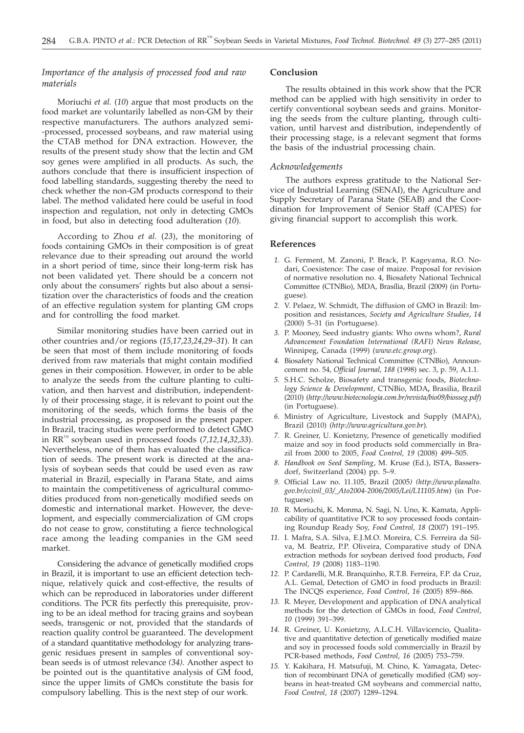# *Importance of the analysis of processed food and raw materials*

Moriuchi *et al.* (*10*) argue that most products on the food market are voluntarily labelled as non-GM by their respective manufacturers. The authors analyzed semi- -processed, processed soybeans, and raw material using the CTAB method for DNA extraction. However, the results of the present study show that the lectin and GM soy genes were amplified in all products. As such, the authors conclude that there is insufficient inspection of food labelling standards, suggesting thereby the need to check whether the non-GM products correspond to their label. The method validated here could be useful in food inspection and regulation, not only in detecting GMOs in food, but also in detecting food adulteration (*10*).

According to Zhou *et al.* (*23*), the monitoring of foods containing GMOs in their composition is of great relevance due to their spreading out around the world in a short period of time, since their long-term risk has not been validated yet. There should be a concern not only about the consumers' rights but also about a sensitization over the characteristics of foods and the creation of an effective regulation system for planting GM crops and for controlling the food market.

Similar monitoring studies have been carried out in other countries and/or regions (*15,17,23,24,29–31*)*.* It can be seen that most of them include monitoring of foods derived from raw materials that might contain modified genes in their composition. However, in order to be able to analyze the seeds from the culture planting to cultivation, and then harvest and distribution, independently of their processing stage, it is relevant to point out the monitoring of the seeds, which forms the basis of the industrial processing, as proposed in the present paper. In Brazil, tracing studies were performed to detect GMO in RR™ soybean used in processed foods (*7,12,14*,*32,33*). Nevertheless, none of them has evaluated the classification of seeds. The present work is directed at the analysis of soybean seeds that could be used even as raw material in Brazil, especially in Parana State, and aims to maintain the competitiveness of agricultural commodities produced from non-genetically modified seeds on domestic and international market. However, the development, and especially commercialization of GM crops do not cease to grow, constituting a fierce technological race among the leading companies in the GM seed market.

Considering the advance of genetically modified crops in Brazil, it is important to use an efficient detection technique, relatively quick and cost-effective, the results of which can be reproduced in laboratories under different conditions. The PCR fits perfectly this prerequisite, proving to be an ideal method for tracing grains and soybean seeds, transgenic or not, provided that the standards of reaction quality control be guaranteed. The development of a standard quantitative methodology for analyzing transgenic residues present in samples of conventional soybean seeds is of utmost relevance *(34)*. Another aspect to be pointed out is the quantitative analysis of GM food, since the upper limits of GMOs constitute the basis for compulsory labelling. This is the next step of our work.

#### **Conclusion**

The results obtained in this work show that the PCR method can be applied with high sensitivity in order to certify conventional soybean seeds and grains. Monitoring the seeds from the culture planting, through cultivation, until harvest and distribution, independently of their processing stage, is a relevant segment that forms the basis of the industrial processing chain.

#### *Acknowledgements*

The authors express gratitude to the National Service of Industrial Learning (SENAI), the Agriculture and Supply Secretary of Parana State (SEAB) and the Coordination for Improvement of Senior Staff (CAPES) for giving financial support to accomplish this work.

#### **References**

- *1.* G. Ferment, M. Zanoni, P. Brack, P. Kageyama, R.O. Nodari, Coexistence: The case of maize. Proposal for revision of normative resolution no. 4, Biosafety National Technical Committee (CTNBio), MDA, Brasília, Brazil (2009) (in Portuguese).
- *2.* V. Pelaez, W. Schmidt, The diffusion of GMO in Brazil: Imposition and resistances, *Society and Agriculture Studies*, *14* (2000) 5–31 (in Portuguese).
- *3.* P. Mooney, Seed industry giants: Who owns whom?, *Rural Advancement Foundation International (RAFI) News Release,* Winnipeg, Canada (1999) (*www.etc.group.org*).
- *4.* Biosafety National Technical Committee (CTNBio), Announcement no. 54, *Official Journal, 188* (1998) sec. 3, p. 59, A.1.1*.*
- *5.* S.H.C. Scholze, Biosafety and transgenic foods, *Biotechnology Science* & *Development,* CTNBio, MDA**,** Brasilia, Brazil (2010) (*http://www.biotecnologia.com.br/revista/bio09/biosseg.pdf*) (in Portuguese).
- *6.* Ministry of Agriculture, Livestock and Supply (MAPA), Brazil (2010) (*http://www.agricultura.gov.br*)*.*
- *7.* R. Greiner, U. Konietzny, Presence of genetically modified maize and soy in food products sold commercially in Brazil from 2000 to 2005, *Food Control, 19* (2008) 499–505.
- *8. Handbook on Seed Sampling*, M. Kruse (Ed.), ISTA, Bassersdorf, Switzerland (2004) pp. 5–9.
- *9.* Official Law no. 11.105, Brazil (2005*) (http://www.planalto. gov.br/ccivil\_03/\_Ato2004-2006/2005/Lei/L11105.htm*) (in Portuguese)*.*
- *10.* R. Moriuchi, K. Monma, N. Sagi, N. Uno, K. Kamata, Applicability of quantitative PCR to soy processed foods containing Roundup Ready Soy, *Food Control, 18* (2007) 191–195.
- *11.* I. Mafra, S.A. Silva, E.J.M.O. Moreira, C.S. Ferreira da Silva, M. Beatriz, P.P. Oliveira, Comparative study of DNA extraction methods for soybean derived food products, *Food Control*, *19* (2008) 1183–1190.
- *12.* P. Cardarelli, M.R. Branquinho, R.T.B. Ferreira, F.P. da Cruz, A.L. Gemal, Detection of GMO in food products in Brazil: The INCQS experience, *Food Control*, *16* (2005) 859–866.
- *13.* R. Meyer, Development and application of DNA analytical methods for the detection of GMOs in food, *Food Control*, *10* (1999) 391–399.
- *14.* R. Greiner, U. Konietzny, A.L.C.H. Villavicencio, Qualitative and quantitative detection of genetically modified maize and soy in processed foods sold commercially in Brazil by PCR-based methods, *Food Control*, *16* (2005) 753–759.
- *15.* Y. Kakihara, H. Matsufuji, M. Chino, K. Yamagata, Detection of recombinant DNA of genetically modified (GM) soybeans in heat-treated GM soybeans and commercial natto, *Food Control*, *18* (2007) 1289–1294.